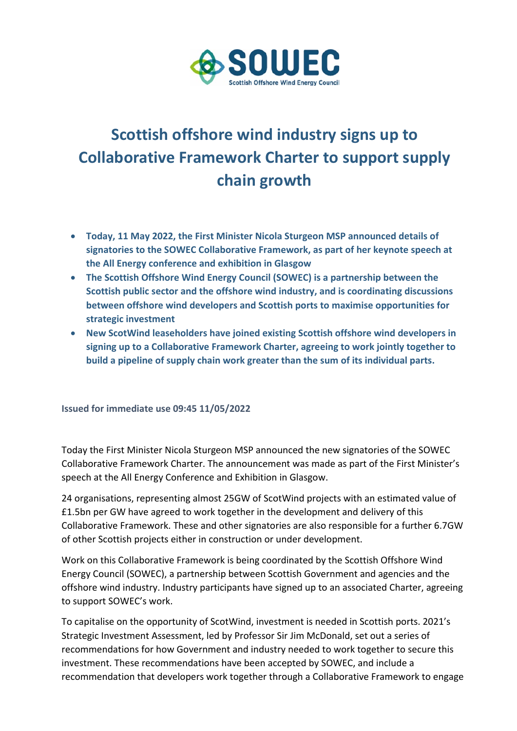

## **Scottish offshore wind industry signs up to Collaborative Framework Charter to support supply chain growth**

- **Today, 11 May 2022, the First Minister Nicola Sturgeon MSP announced details of signatories to the SOWEC Collaborative Framework, as part of her keynote speech at the All Energy conference and exhibition in Glasgow**
- **The Scottish Offshore Wind Energy Council (SOWEC) is a partnership between the Scottish public sector and the offshore wind industry, and is coordinating discussions between offshore wind developers and Scottish ports to maximise opportunities for strategic investment**
- **New ScotWind leaseholders have joined existing Scottish offshore wind developers in signing up to a Collaborative Framework Charter, agreeing to work jointly together to build a pipeline of supply chain work greater than the sum of its individual parts.**

**Issued for immediate use 09:45 11/05/2022**

Today the First Minister Nicola Sturgeon MSP announced the new signatories of the SOWEC Collaborative Framework Charter. The announcement was made as part of the First Minister's speech at the All Energy Conference and Exhibition in Glasgow.

24 organisations, representing almost 25GW of ScotWind projects with an estimated value of £1.5bn per GW have agreed to work together in the development and delivery of this Collaborative Framework. These and other signatories are also responsible for a further 6.7GW of other Scottish projects either in construction or under development.

Work on this Collaborative Framework is being coordinated by the Scottish Offshore Wind Energy Council (SOWEC), a partnership between Scottish Government and agencies and the offshore wind industry. Industry participants have signed up to an associated Charter, agreeing to support SOWEC's work.

To capitalise on the opportunity of ScotWind, investment is needed in Scottish ports. 2021's Strategic Investment Assessment, led by Professor Sir Jim McDonald, set out a series of recommendations for how Government and industry needed to work together to secure this investment. These recommendations have been accepted by SOWEC, and include a recommendation that developers work together through a Collaborative Framework to engage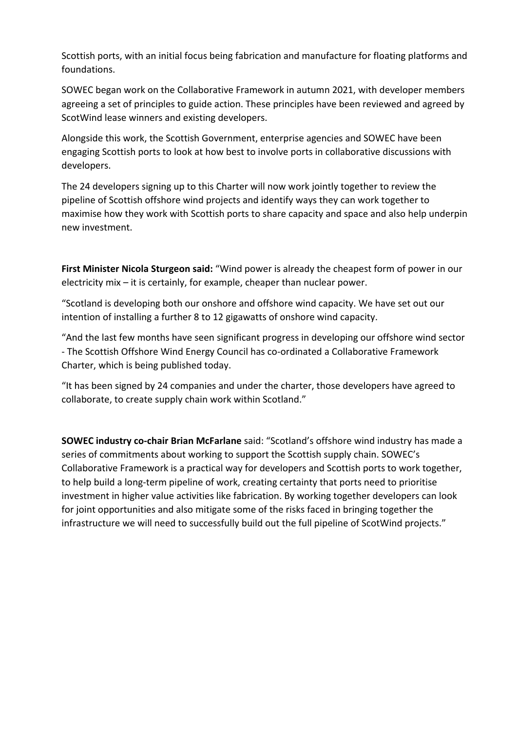Scottish ports, with an initial focus being fabrication and manufacture for floating platforms and foundations.

SOWEC began work on the Collaborative Framework in autumn 2021, with developer members agreeing a set of principles to guide action. These principles have been reviewed and agreed by ScotWind lease winners and existing developers.

Alongside this work, the Scottish Government, enterprise agencies and SOWEC have been engaging Scottish ports to look at how best to involve ports in collaborative discussions with developers.

The 24 developers signing up to this Charter will now work jointly together to review the pipeline of Scottish offshore wind projects and identify ways they can work together to maximise how they work with Scottish ports to share capacity and space and also help underpin new investment.

**First Minister Nicola Sturgeon said:** "Wind power is already the cheapest form of power in our electricity mix – it is certainly, for example, cheaper than nuclear power.

"Scotland is developing both our onshore and offshore wind capacity. We have set out our intention of installing a further 8 to 12 gigawatts of onshore wind capacity.

"And the last few months have seen significant progress in developing our offshore wind sector - The Scottish Offshore Wind Energy Council has co-ordinated a Collaborative Framework Charter, which is being published today.

"It has been signed by 24 companies and under the charter, those developers have agreed to collaborate, to create supply chain work within Scotland."

**SOWEC industry co-chair Brian McFarlane** said: "Scotland's offshore wind industry has made a series of commitments about working to support the Scottish supply chain. SOWEC's Collaborative Framework is a practical way for developers and Scottish ports to work together, to help build a long-term pipeline of work, creating certainty that ports need to prioritise investment in higher value activities like fabrication. By working together developers can look for joint opportunities and also mitigate some of the risks faced in bringing together the infrastructure we will need to successfully build out the full pipeline of ScotWind projects."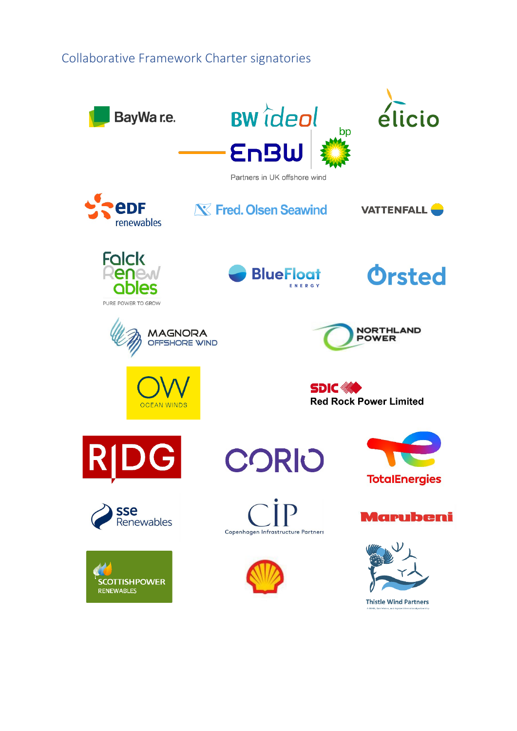## Collaborative Framework Charter signatories

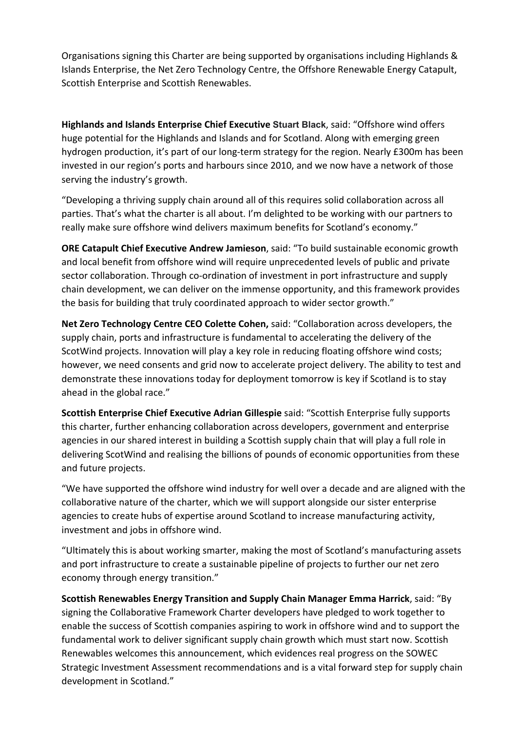Organisations signing this Charter are being supported by organisations including Highlands & Islands Enterprise, the Net Zero Technology Centre, the Offshore Renewable Energy Catapult, Scottish Enterprise and Scottish Renewables.

**Highlands and Islands Enterprise Chief Executive Stuart Black**, said: "Offshore wind offers huge potential for the Highlands and Islands and for Scotland. Along with emerging green hydrogen production, it's part of our long-term strategy for the region. Nearly £300m has been invested in our region's ports and harbours since 2010, and we now have a network of those serving the industry's growth.

"Developing a thriving supply chain around all of this requires solid collaboration across all parties. That's what the charter is all about. I'm delighted to be working with our partners to really make sure offshore wind delivers maximum benefits for Scotland's economy."

**ORE Catapult Chief Executive Andrew Jamieson**, said: "To build sustainable economic growth and local benefit from offshore wind will require unprecedented levels of public and private sector collaboration. Through co-ordination of investment in port infrastructure and supply chain development, we can deliver on the immense opportunity, and this framework provides the basis for building that truly coordinated approach to wider sector growth."

**Net Zero Technology Centre CEO Colette Cohen,** said: "Collaboration across developers, the supply chain, ports and infrastructure is fundamental to accelerating the delivery of the ScotWind projects. Innovation will play a key role in reducing floating offshore wind costs; however, we need consents and grid now to accelerate project delivery. The ability to test and demonstrate these innovations today for deployment tomorrow is key if Scotland is to stay ahead in the global race."

**Scottish Enterprise Chief Executive Adrian Gillespie** said: "Scottish Enterprise fully supports this charter, further enhancing collaboration across developers, government and enterprise agencies in our shared interest in building a Scottish supply chain that will play a full role in delivering ScotWind and realising the billions of pounds of economic opportunities from these and future projects.

"We have supported the offshore wind industry for well over a decade and are aligned with the collaborative nature of the charter, which we will support alongside our sister enterprise agencies to create hubs of expertise around Scotland to increase manufacturing activity, investment and jobs in offshore wind.

"Ultimately this is about working smarter, making the most of Scotland's manufacturing assets and port infrastructure to create a sustainable pipeline of projects to further our net zero economy through energy transition."

**Scottish Renewables Energy Transition and Supply Chain Manager Emma Harrick**, said: "By signing the Collaborative Framework Charter developers have pledged to work together to enable the success of Scottish companies aspiring to work in offshore wind and to support the fundamental work to deliver significant supply chain growth which must start now. Scottish Renewables welcomes this announcement, which evidences real progress on the SOWEC Strategic Investment Assessment recommendations and is a vital forward step for supply chain development in Scotland."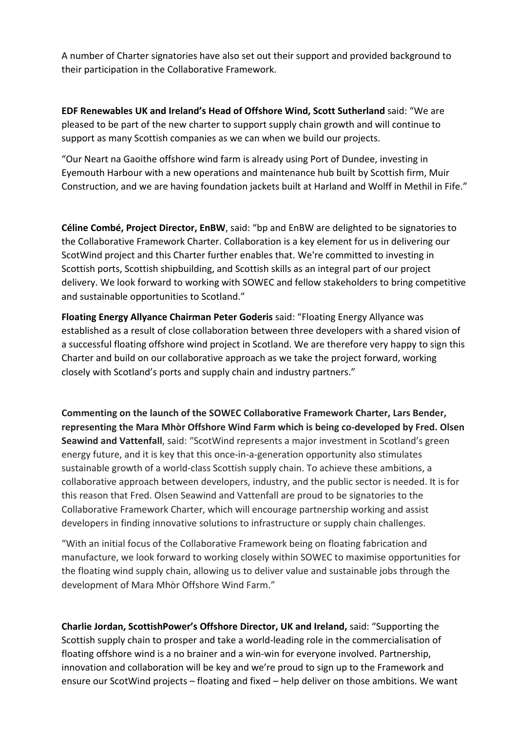A number of Charter signatories have also set out their support and provided background to their participation in the Collaborative Framework.

**EDF Renewables UK and Ireland's Head of Offshore Wind, Scott Sutherland** said: "We are pleased to be part of the new charter to support supply chain growth and will continue to support as many Scottish companies as we can when we build our projects.

"Our Neart na Gaoithe offshore wind farm is already using Port of Dundee, investing in Eyemouth Harbour with a new operations and maintenance hub built by Scottish firm, Muir Construction, and we are having foundation jackets built at Harland and Wolff in Methil in Fife."

**Céline Combé, Project Director, EnBW**, said: "bp and EnBW are delighted to be signatories to the Collaborative Framework Charter. Collaboration is a key element for us in delivering our ScotWind project and this Charter further enables that. We're committed to investing in Scottish ports, Scottish shipbuilding, and Scottish skills as an integral part of our project delivery. We look forward to working with SOWEC and fellow stakeholders to bring competitive and sustainable opportunities to Scotland."

**Floating Energy Allyance Chairman Peter Goderis** said: "Floating Energy Allyance was established as a result of close collaboration between three developers with a shared vision of a successful floating offshore wind project in Scotland. We are therefore very happy to sign this Charter and build on our collaborative approach as we take the project forward, working closely with Scotland's ports and supply chain and industry partners."

**Commenting on the launch of the SOWEC Collaborative Framework Charter, Lars Bender, representing the Mara Mhòr Offshore Wind Farm which is being co-developed by Fred. Olsen Seawind and Vattenfall**, said: "ScotWind represents a major investment in Scotland's green energy future, and it is key that this once-in-a-generation opportunity also stimulates sustainable growth of a world-class Scottish supply chain. To achieve these ambitions, a collaborative approach between developers, industry, and the public sector is needed. It is for this reason that Fred. Olsen Seawind and Vattenfall are proud to be signatories to the Collaborative Framework Charter, which will encourage partnership working and assist developers in finding innovative solutions to infrastructure or supply chain challenges.

"With an initial focus of the Collaborative Framework being on floating fabrication and manufacture, we look forward to working closely within SOWEC to maximise opportunities for the floating wind supply chain, allowing us to deliver value and sustainable jobs through the development of Mara Mhòr Offshore Wind Farm."

**Charlie Jordan, ScottishPower's Offshore Director, UK and Ireland,** said: "Supporting the Scottish supply chain to prosper and take a world-leading role in the commercialisation of floating offshore wind is a no brainer and a win-win for everyone involved. Partnership, innovation and collaboration will be key and we're proud to sign up to the Framework and ensure our ScotWind projects – floating and fixed – help deliver on those ambitions. We want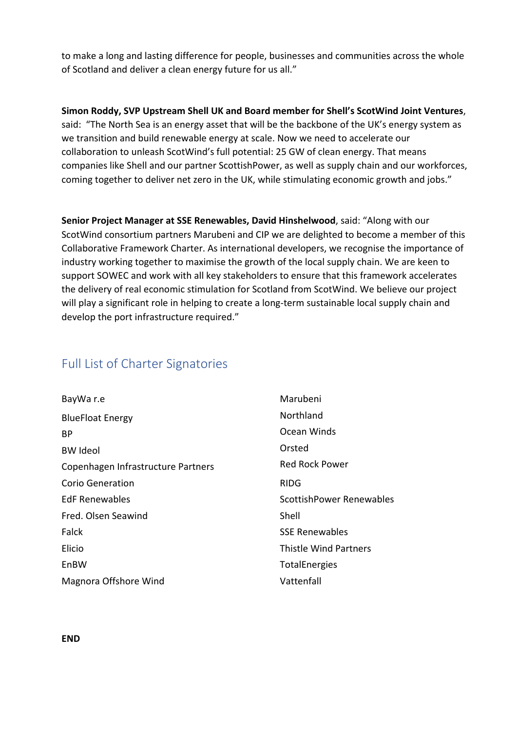to make a long and lasting difference for people, businesses and communities across the whole of Scotland and deliver a clean energy future for us all."

**Simon Roddy, SVP Upstream Shell UK and Board member for Shell's ScotWind Joint Ventures**, said: "The North Sea is an energy asset that will be the backbone of the UK's energy system as we transition and build renewable energy at scale. Now we need to accelerate our collaboration to unleash ScotWind's full potential: 25 GW of clean energy. That means companies like Shell and our partner ScottishPower, as well as supply chain and our workforces, coming together to deliver net zero in the UK, while stimulating economic growth and jobs."

**Senior Project Manager at SSE Renewables, David Hinshelwood**, said: "Along with our ScotWind consortium partners Marubeni and CIP we are delighted to become a member of this Collaborative Framework Charter. As international developers, we recognise the importance of industry working together to maximise the growth of the local supply chain. We are keen to support SOWEC and work with all key stakeholders to ensure that this framework accelerates the delivery of real economic stimulation for Scotland from ScotWind. We believe our project will play a significant role in helping to create a long-term sustainable local supply chain and develop the port infrastructure required."

## Full List of Charter Signatories

| BayWa r.e                          | Marubeni                     |
|------------------------------------|------------------------------|
| <b>BlueFloat Energy</b>            | Northland                    |
| BP.                                | Ocean Winds                  |
| <b>BW Ideol</b>                    | Orsted                       |
| Copenhagen Infrastructure Partners | <b>Red Rock Power</b>        |
| Corio Generation                   | <b>RIDG</b>                  |
| <b>EdF Renewables</b>              | ScottishPower Renewables     |
| Fred. Olsen Seawind                | Shell                        |
| Falck                              | <b>SSE Renewables</b>        |
| Elicio                             | <b>Thistle Wind Partners</b> |
| EnBW                               | <b>TotalEnergies</b>         |
| Magnora Offshore Wind              | Vattenfall                   |